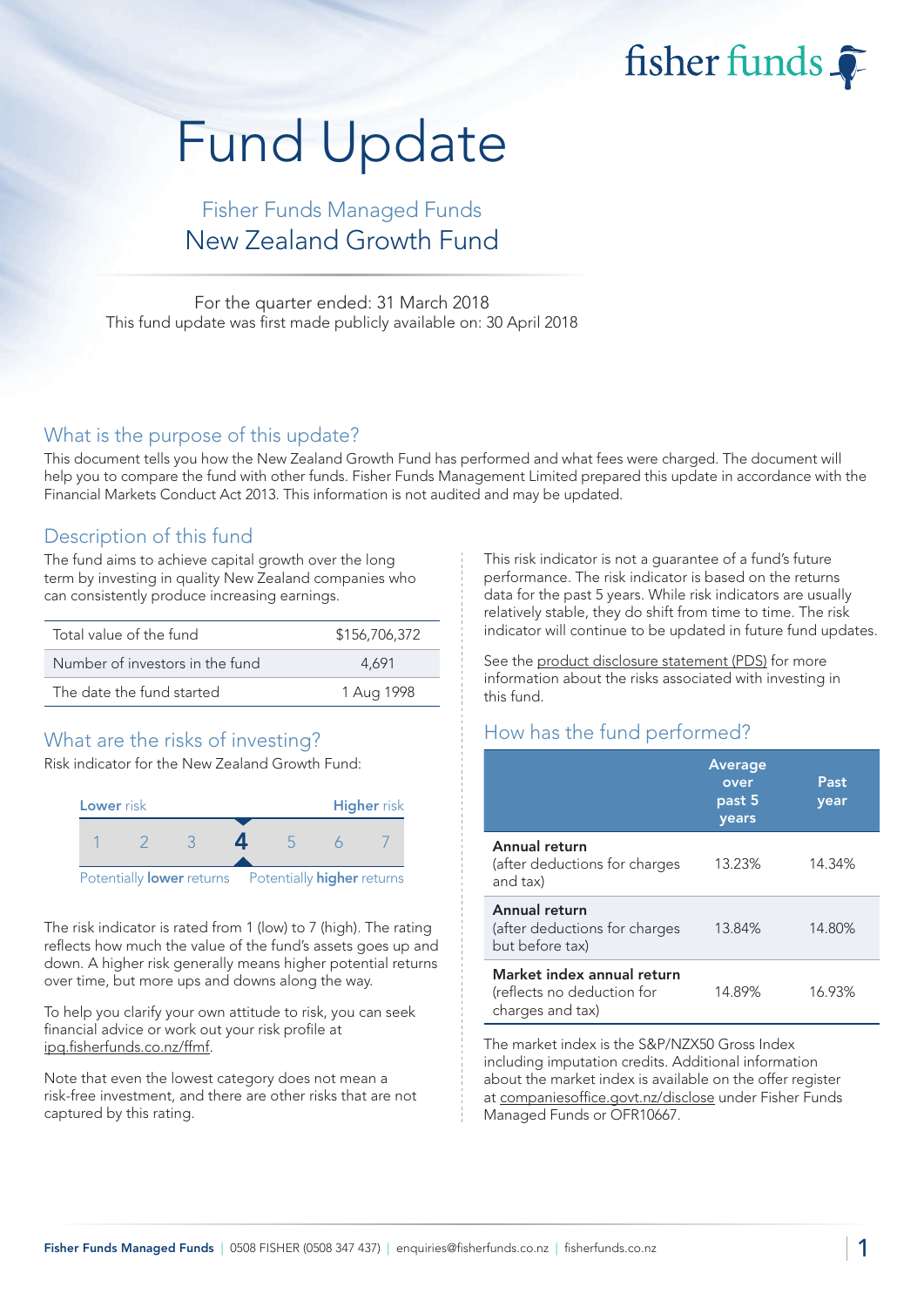fisher funds

# Fund Update

## Fisher Funds Managed Funds New Zealand Growth Fund

For the quarter ended: 31 March 2018 This fund update was first made publicly available on: 30 April 2018

#### What is the purpose of this update?

This document tells you how the New Zealand Growth Fund has performed and what fees were charged. The document will help you to compare the fund with other funds. Fisher Funds Management Limited prepared this update in accordance with the Financial Markets Conduct Act 2013. This information is not audited and may be updated.

### Description of this fund

The fund aims to achieve capital growth over the long term by investing in quality New Zealand companies who can consistently produce increasing earnings.

| Total value of the fund         | \$156,706,372 |
|---------------------------------|---------------|
| Number of investors in the fund | 4.691         |
| The date the fund started       | 1 Aug 1998    |

## What are the risks of investing?

Risk indicator for the New Zealand Growth Fund:



The risk indicator is rated from 1 (low) to 7 (high). The rating reflects how much the value of the fund's assets goes up and down. A higher risk generally means higher potential returns over time, but more ups and downs along the way.

To help you clarify your own attitude to risk, you can seek financial advice or work out your risk profile at [ipq.fisherfunds.co.nz/ffmf.](https://ipq.fisherfunds.co.nz/ffmf)

Note that even the lowest category does not mean a risk-free investment, and there are other risks that are not captured by this rating.

This risk indicator is not a guarantee of a fund's future performance. The risk indicator is based on the returns data for the past 5 years. While risk indicators are usually relatively stable, they do shift from time to time. The risk indicator will continue to be updated in future fund updates.

See the [product disclosure statement \(PDS\)](https://fisherfunds.co.nz/assets/PDS/Fisher-Funds-Managed-Funds-PDS.pdf) for more information about the risks associated with investing in this fund.

## How has the fund performed?

|                                                                              | <b>Average</b><br>over<br>past 5<br>years | Past<br>year |
|------------------------------------------------------------------------------|-------------------------------------------|--------------|
| Annual return<br>(after deductions for charges<br>and tax)                   | 13.23%                                    | 14.34%       |
| Annual return<br>(after deductions for charges<br>but before tax)            | 13.84%                                    | 14.80%       |
| Market index annual return<br>(reflects no deduction for<br>charges and tax) | 14.89%                                    | 16.93%       |

The market index is the S&P/NZX50 Gross Index including imputation credits. Additional information about the market index is available on the offer register at [companiesoffice.govt.nz/disclose](http://companiesoffice.govt.nz/disclose) under Fisher Funds Managed Funds or OFR10667.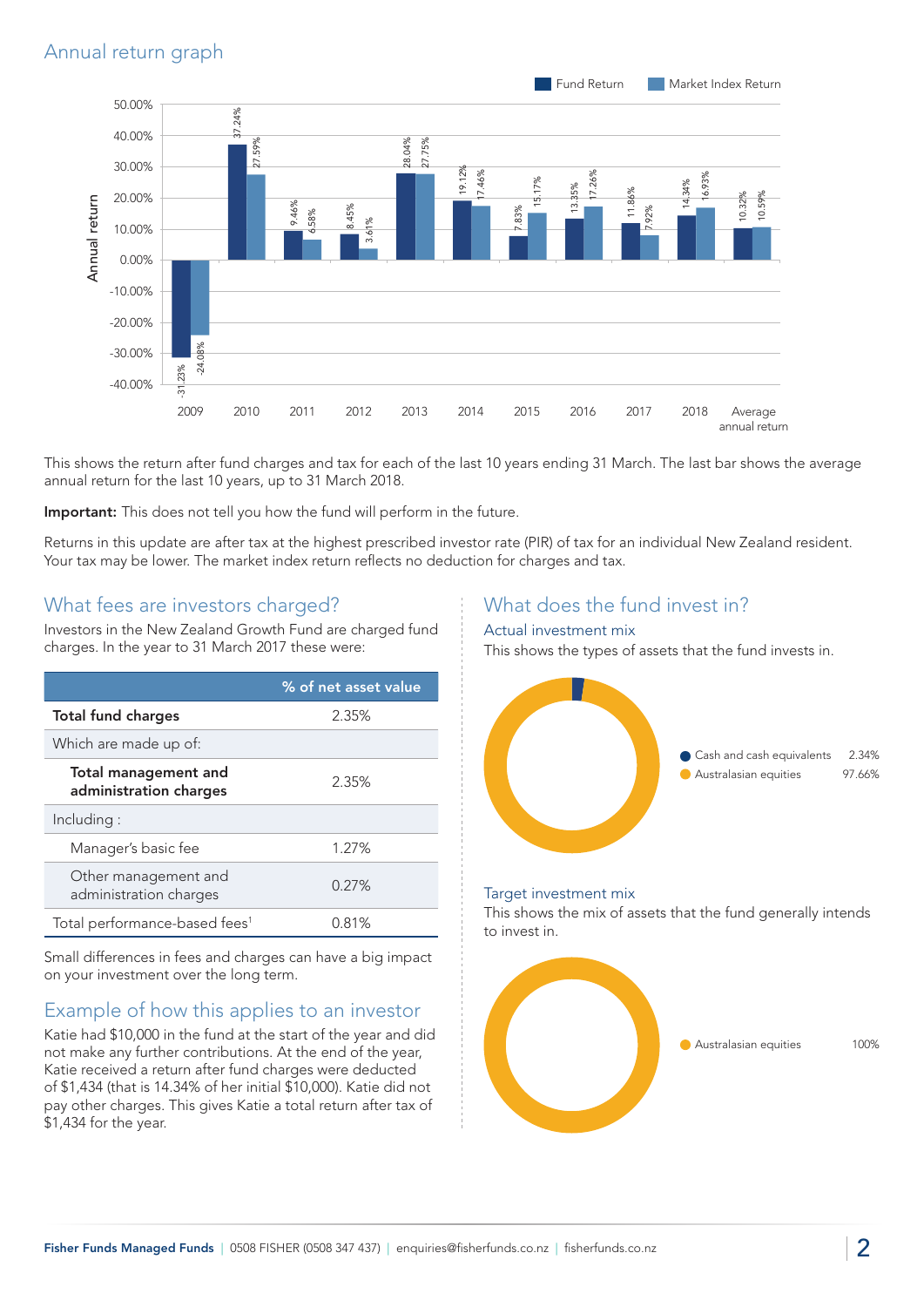

This shows the return after fund charges and tax for each of the last 10 years ending 31 March. The last bar shows the average annual return for the last 10 years, up to 31 March 2018.

Important: This does not tell you how the fund will perform in the future.

Returns in this update are after tax at the highest prescribed investor rate (PIR) of tax for an individual New Zealand resident. Your tax may be lower. The market index return reflects no deduction for charges and tax.

#### What fees are investors charged?

Investors in the New Zealand Growth Fund are charged fund charges. In the year to 31 March 2017 these were:

|                                                | % of net asset value |
|------------------------------------------------|----------------------|
| <b>Total fund charges</b>                      | 2.35%                |
| Which are made up of:                          |                      |
| Total management and<br>administration charges | 2.35%                |
| Including:                                     |                      |
| Manager's basic fee                            | 1.27%                |
| Other management and<br>administration charges | 0.27%                |
| Total performance-based fees <sup>1</sup>      | 0.81%                |

Small differences in fees and charges can have a big impact on your investment over the long term.

## Example of how this applies to an investor

Katie had \$10,000 in the fund at the start of the year and did not make any further contributions. At the end of the year, Katie received a return after fund charges were deducted of \$1,434 (that is 14.34% of her initial \$10,000). Katie did not pay other charges. This gives Katie a total return after tax of \$1,434 for the year.

### What does the fund invest in?

#### Actual investment mix

This shows the types of assets that the fund invests in.



#### Target investment mix

This shows the mix of assets that the fund generally intends to invest in.